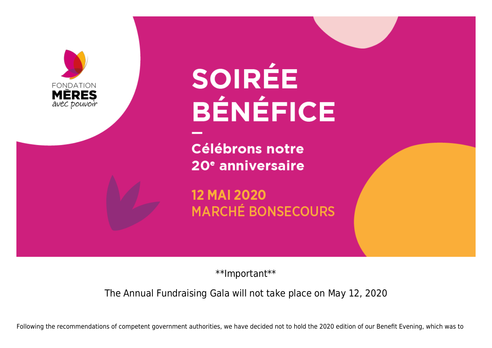

## **SOIRÉE BÉNÉFICE**

**Célébrons notre** 20<sup>e</sup> anniversaire

**12 MAI 2020 MARCHÉ BONSECOURS** 

\*\*Important\*\*

The Annual Fundraising Gala will not take place on May 12, 2020

Following the recommendations of competent government authorities, we have decided not to hold the 2020 edition of our Benefit Evening, which was to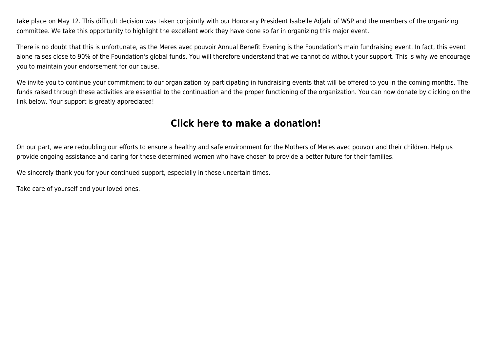take place on May 12. This difficult decision was taken conjointly with our Honorary President Isabelle Adjahi of WSP and the members of the organizing committee. We take this opportunity to highlight the excellent work they have done so far in organizing this major event.

There is no doubt that this is unfortunate, as the Meres avec pouvoir Annual Benefit Evening is the Foundation's main fundraising event. In fact, this event alone raises close to 90% of the Foundation's global funds. You will therefore understand that we cannot do without your support. This is why we encourage you to maintain your endorsement for our cause.

We invite you to continue your commitment to our organization by participating in fundraising events that will be offered to you in the coming months. The funds raised through these activities are essential to the continuation and the proper functioning of the organization. You can now donate by clicking on the link below. Your support is greatly appreciated!

## **[Click here to make a donation!](https://www.canadahelps.org/en/dn/t/18293)**

On our part, we are redoubling our efforts to ensure a healthy and safe environment for the Mothers of Meres avec pouvoir and their children. Help us provide ongoing assistance and caring for these determined women who have chosen to provide a better future for their families.

We sincerely thank you for your continued support, especially in these uncertain times.

Take care of yourself and your loved ones.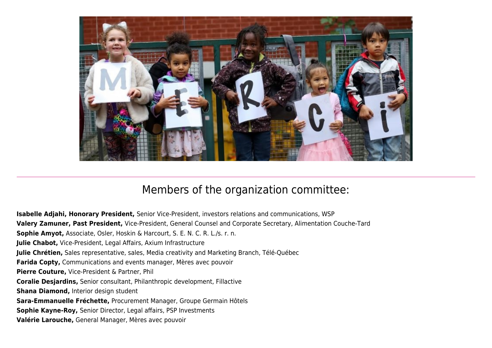

## Members of the organization committee:

**Isabelle Adjahi, Honorary President,** Senior Vice-President, investors relations and communications, WSP **Valery Zamuner, Past President,** Vice-President, General Counsel and Corporate Secretary, Alimentation Couche-Tard **Sophie Amyot,** Associate, Osler, Hoskin & Harcourt, S. E. N. C. R. L./s. r. n. **Julie Chabot,** Vice-President, Legal Affairs, Axium Infrastructure **Julie Chrétien,** Sales representative, sales, Media creativity and Marketing Branch, Télé-Québec **Farida Copty,** Communications and events manager, Mères avec pouvoir **Pierre Couture,** Vice-President & Partner, Phil **Coralie Desjardins,** Senior consultant, Philanthropic development, Fillactive **Shana Diamond,** Interior design student **Sara-Emmanuelle Fréchette,** Procurement Manager, Groupe Germain Hôtels **Sophie Kayne-Roy,** Senior Director, Legal affairs, PSP Investments **Valérie Larouche,** General Manager, Mères avec pouvoir